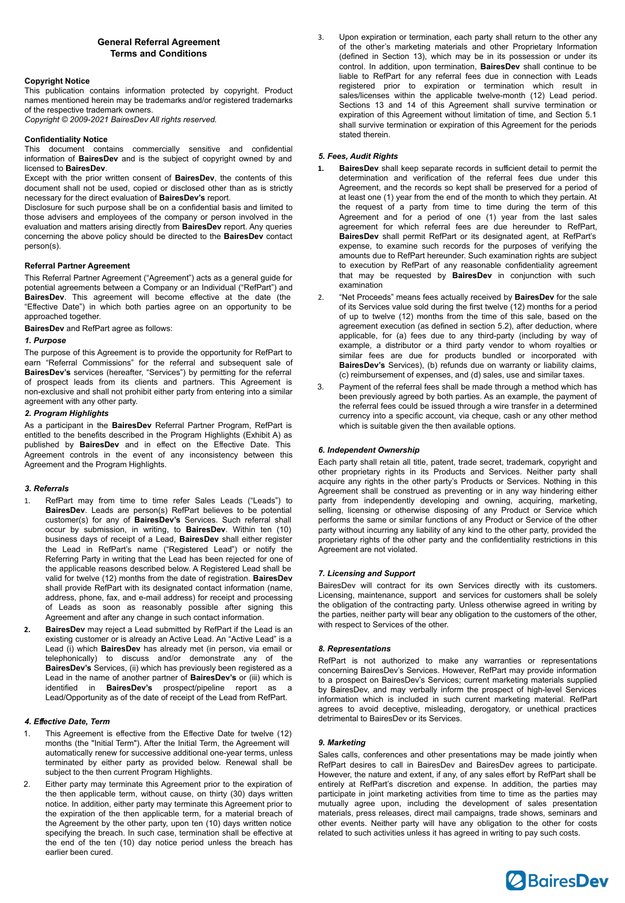# **General Referral Agreement Terms and Conditions**

### **Copyright Notice**

This publication contains information protected by copyright. Product names mentioned herein may be trademarks and/or registered trademarks of the respective trademark owners.

*Copyright © 2009-2021 BairesDev All rights reserved.*

## **Confidentiality Notice**

This document contains commercially sensitive and confidential information of **BairesDev** and is the subject of copyright owned by and licensed to **BairesDev**.

Except with the prior written consent of **BairesDev**, the contents of this document shall not be used, copied or disclosed other than as is strictly necessary for the direct evaluation of **BairesDev's** report.

Disclosure for such purpose shall be on a confidential basis and limited to those advisers and employees of the company or person involved in the evaluation and matters arising directly from **BairesDev** report. Any queries concerning the above policy should be directed to the **BairesDev** contact person(s).

## **Referral Partner Agreement**

This Referral Partner Agreement ("Agreement") acts as a general guide for potential agreements between a Company or an Individual ("RefPart") and **BairesDev**. This agreement will become effective at the date (the "Effective Date") in which both parties agree on an opportunity to be approached together.

**BairesDev** and RefPart agree as follows:

## *1. Purpose*

The purpose of this Agreement is to provide the opportunity for RefPart to earn "Referral Commissions" for the referral and subsequent sale of **BairesDev's** services (hereafter, "Services") by permitting for the referral of prospect leads from its clients and partners. This Agreement is non-exclusive and shall not prohibit either party from entering into a similar agreement with any other party.

### *2. Program Highlights*

As a participant in the **BairesDev** Referral Partner Program, RefPart is entitled to the benefits described in the Program Highlights (Exhibit A) as published by **BairesDev** and in effect on the Effective Date. This Agreement controls in the event of any inconsistency between this Agreement and the Program Highlights.

### *3. Referrals*

- 1. RefPart may from time to time refer Sales Leads ("Leads") to **BairesDev**. Leads are person(s) RefPart believes to be potential customer(s) for any of **BairesDev's** Services. Such referral shall occur by submission, in writing, to **BairesDev**. Within ten (10) business days of receipt of a Lead, **BairesDev** shall either register the Lead in RefPart's name ("Registered Lead") or notify the Referring Party in writing that the Lead has been rejected for one of the applicable reasons described below. A Registered Lead shall be valid for twelve (12) months from the date of registration. **BairesDev**  shall provide RefPart with its designated contact information (name, address, phone, fax, and e-mail address) for receipt and processing of Leads as soon as reasonably possible after signing this Agreement and after any change in such contact information.
- **2. BairesDev** may reject a Lead submitted by RefPart if the Lead is an existing customer or is already an Active Lead. An "Active Lead" is a Lead (i) which **BairesDev** has already met (in person, via email or telephonically) to discuss and/or demonstrate any of the **BairesDev's** Services, (ii) which has previously been registered as a Lead in the name of another partner of **BairesDev's** or (iii) which is identified in **BairesDev's** prospect/pipeline report as Lead/Opportunity as of the date of receipt of the Lead from RefPart.

### *4. E*ff*ective Date, Term*

- This Agreement is effective from the Effective Date for twelve (12) months (the "Initial Term"). After the Initial Term, the Agreement will automatically renew for successive additional one-year terms, unless terminated by either party as provided below. Renewal shall be subject to the then current Program Highlights.
- 2. Either party may terminate this Agreement prior to the expiration of the then applicable term, without cause, on thirty (30) days written notice. In addition, either party may terminate this Agreement prior to the expiration of the then applicable term, for a material breach of the Agreement by the other party, upon ten (10) days written notice specifying the breach. In such case, termination shall be effective at the end of the ten (10) day notice period unless the breach has earlier been cured.

3. Upon expiration or termination, each party shall return to the other any of the other's marketing materials and other Proprietary Information (defined in Section 13), which may be in its possession or under its control. In addition, upon termination, **BairesDev** shall continue to be liable to RefPart for any referral fees due in connection with Leads registered prior to expiration or termination which result in sales/licenses within the applicable twelve-month (12) Lead period. Sections 13 and 14 of this Agreement shall survive termination or expiration of this Agreement without limitation of time, and Section 5.1 shall survive termination or expiration of this Agreement for the periods stated therein.

### *5. Fees, Audit Rights*

- **1. BairesDev** shall keep separate records in sufficient detail to permit the determination and verification of the referral fees due under this Agreement, and the records so kept shall be preserved for a period of at least one (1) year from the end of the month to which they pertain. At the request of a party from time to time during the term of this Agreement and for a period of one (1) year from the last sales agreement for which referral fees are due hereunder to RefPart, **BairesDev** shall permit RefPart or its designated agent, at RefPart's expense, to examine such records for the purposes of verifying the amounts due to RefPart hereunder. Such examination rights are subject to execution by RefPart of any reasonable confidentiality agreement that may be requested by **BairesDev** in conjunction with such examination
- 2. "Net Proceeds" means fees actually received by **BairesDev** for the sale of its Services value sold during the first twelve (12) months for a period of up to twelve (12) months from the time of this sale, based on the agreement execution (as defined in section 5.2), after deduction, where applicable, for (a) fees due to any third-party (including by way of example, a distributor or a third party vendor to whom royalties or similar fees are due for products bundled or incorporated with **BairesDev's** Services), (b) refunds due on warranty or liability claims, (c) reimbursement of expenses, and (d) sales, use and similar taxes.
- 3. Payment of the referral fees shall be made through a method which has been previously agreed by both parties. As an example, the payment of the referral fees could be issued through a wire transfer in a determined currency into a specific account, via cheque, cash or any other method which is suitable given the then available options.

### *6. Independent Ownership*

Each party shall retain all title, patent, trade secret, trademark, copyright and other proprietary rights in its Products and Services. Neither party shall acquire any rights in the other party's Products or Services. Nothing in this Agreement shall be construed as preventing or in any way hindering either party from independently developing and owning, acquiring, marketing, selling, licensing or otherwise disposing of any Product or Service which performs the same or similar functions of any Product or Service of the other party without incurring any liability of any kind to the other party, provided the proprietary rights of the other party and the confidentiality restrictions in this Agreement are not violated.

#### *7. Licensing and Support*

BairesDev will contract for its own Services directly with its customers. Licensing, maintenance, support and services for customers shall be solely the obligation of the contracting party. Unless otherwise agreed in writing by the parties, neither party will bear any obligation to the customers of the other, with respect to Services of the other.

### *8. Representations*

RefPart is not authorized to make any warranties or representations concerning BairesDev's Services. However, RefPart may provide information to a prospect on BairesDev's Services; current marketing materials supplied by BairesDev, and may verbally inform the prospect of high-level Services information which is included in such current marketing material. RefPart agrees to avoid deceptive, misleading, derogatory, or unethical practices detrimental to BairesDev or its Services.

#### *9. Marketing*

Sales calls, conferences and other presentations may be made jointly when RefPart desires to call in BairesDev and BairesDev agrees to participate. However, the nature and extent, if any, of any sales effort by RefPart shall be entirely at RefPart's discretion and expense. In addition, the parties may participate in joint marketing activities from time to time as the parties may mutually agree upon, including the development of sales presentation materials, press releases, direct mail campaigns, trade shows, seminars and other events. Neither party will have any obligation to the other for costs related to such activities unless it has agreed in writing to pay such costs.